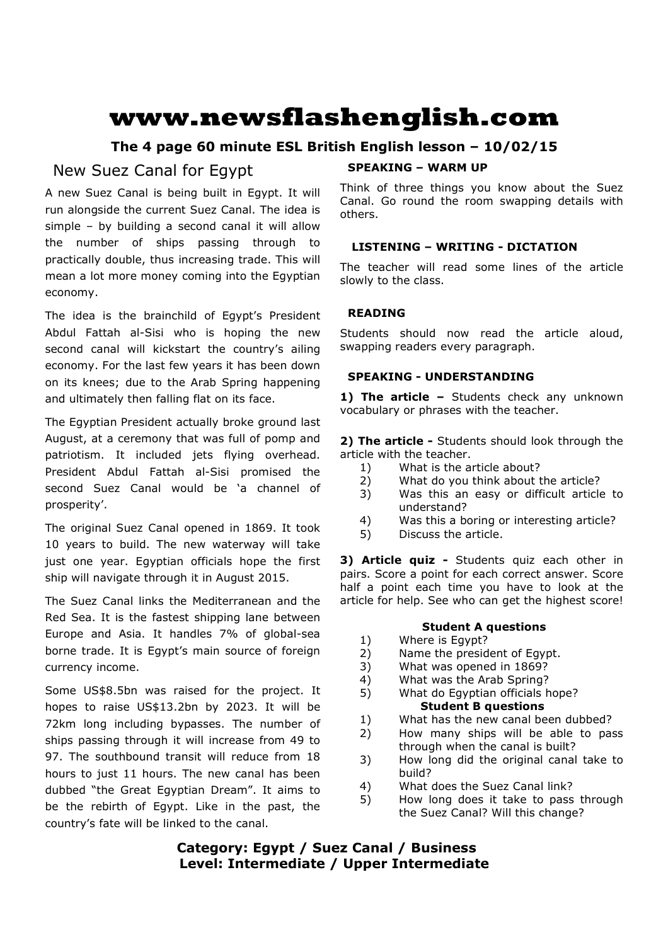# **www.newsflashenglish.com**

# **The 4 page 60 minute ESL British English lesson – 10/02/15**

# New Suez Canal for Egypt

A new Suez Canal is being built in Egypt. It will run alongside the current Suez Canal. The idea is simple – by building a second canal it will allow the number of ships passing through to practically double, thus increasing trade. This will mean a lot more money coming into the Egyptian economy.

The idea is the brainchild of Egypt's President Abdul Fattah al-Sisi who is hoping the new second canal will kickstart the country's ailing economy. For the last few years it has been down on its knees; due to the Arab Spring happening and ultimately then falling flat on its face.

The Egyptian President actually broke ground last August, at a ceremony that was full of pomp and patriotism. It included jets flying overhead. President Abdul Fattah al-Sisi promised the second Suez Canal would be 'a channel of prosperity'.

The original Suez Canal opened in 1869. It took 10 years to build. The new waterway will take just one year. Egyptian officials hope the first ship will navigate through it in August 2015.

The Suez Canal links the Mediterranean and the Red Sea. It is the fastest shipping lane between Europe and Asia. It handles 7% of global-sea borne trade. It is Egypt's main source of foreign currency income.

Some US\$8.5bn was raised for the project. It hopes to raise US\$13.2bn by 2023. It will be 72km long including bypasses. The number of ships passing through it will increase from 49 to 97. The southbound transit will reduce from 18 hours to just 11 hours. The new canal has been dubbed "the Great Egyptian Dream". It aims to be the rebirth of Egypt. Like in the past, the country's fate will be linked to the canal.

# **SPEAKING – WARM UP**

Think of three things you know about the Suez Canal. Go round the room swapping details with others.

# **LISTENING – WRITING - DICTATION**

The teacher will read some lines of the article slowly to the class.

# **READING**

Students should now read the article aloud, swapping readers every paragraph.

# **SPEAKING - UNDERSTANDING**

1) The article - Students check any unknown vocabulary or phrases with the teacher.

**2) The article -** Students should look through the article with the teacher.

- 1) What is the article about?
- 2) What do you think about the article?
- 3) Was this an easy or difficult article to understand?
- 4) Was this a boring or interesting article?
- 5) Discuss the article.

**3) Article quiz -** Students quiz each other in pairs. Score a point for each correct answer. Score half a point each time you have to look at the article for help. See who can get the highest score!

# **Student A questions**

- 1) Where is Egypt?
- 2) Name the president of Egypt.
- 3) What was opened in 1869?
- 4) What was the Arab Spring?
- 5) What do Egyptian officials hope? **Student B questions**
- 1) What has the new canal been dubbed?
- 2) How many ships will be able to pass through when the canal is built?
- 3) How long did the original canal take to build?
- 4) What does the Suez Canal link?
- 5) How long does it take to pass through the Suez Canal? Will this change?

# **Category: Egypt / Suez Canal / Business Level: Intermediate / Upper Intermediate**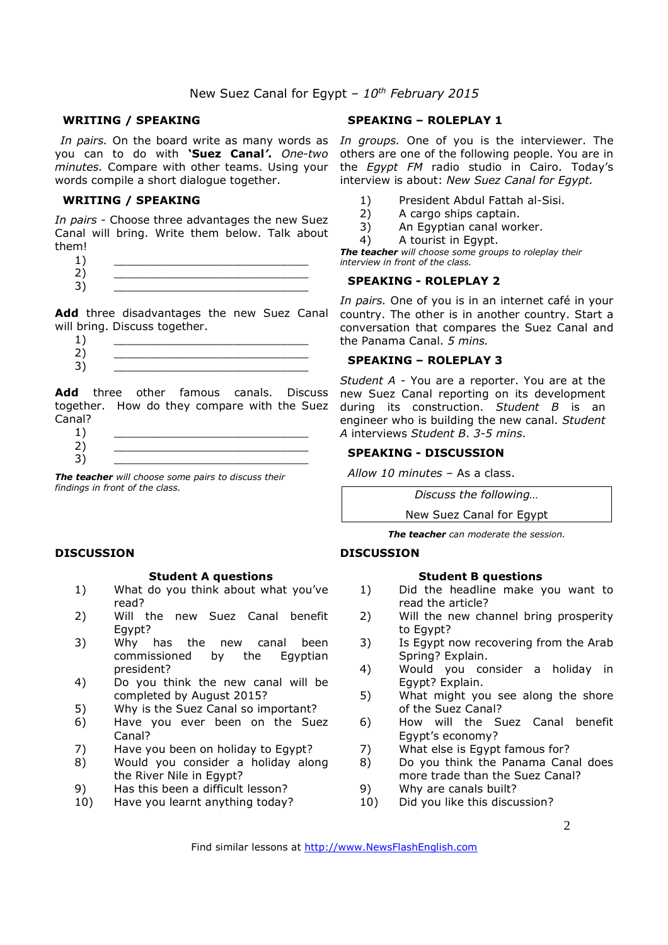# New Suez Canal for Egypt *– 10th February 2015*

# **WRITING / SPEAKING**

you can to do with **'Suez Canal***'***.** *One-two minutes.* Compare with other teams. Using your words compile a short dialogue together.

# **WRITING / SPEAKING**

*In pairs* - Choose three advantages the new Suez Canal will bring. Write them below. Talk about them!

- $1)$   $\qquad \qquad$
- 2) \_\_\_\_\_\_\_\_\_\_\_\_\_\_\_\_\_\_\_\_\_\_\_\_\_\_\_\_
- 3) \_\_\_\_\_\_\_\_\_\_\_\_\_\_\_\_\_\_\_\_\_\_\_\_\_\_\_\_

Add three disadvantages the new Suez Canal will bring. Discuss together.

 $1)$   $\qquad \qquad$ 2) \_\_\_\_\_\_\_\_\_\_\_\_\_\_\_\_\_\_\_\_\_\_\_\_\_\_\_\_ 3) \_\_\_\_\_\_\_\_\_\_\_\_\_\_\_\_\_\_\_\_\_\_\_\_\_\_\_\_

**Add** three other famous canals. Discuss together. How do they compare with the Suez Canal?

 $1)$   $\qquad \qquad$ 2) \_\_\_\_\_\_\_\_\_\_\_\_\_\_\_\_\_\_\_\_\_\_\_\_\_\_\_\_ 3) \_\_\_\_\_\_\_\_\_\_\_\_\_\_\_\_\_\_\_\_\_\_\_\_\_\_\_\_

*The teacher will choose some pairs to discuss their findings in front of the class.* 

# **DISCUSSION**

#### **Student A questions**

- 1) What do you think about what you've read?
- 2) Will the new Suez Canal benefit Egypt?
- 3) Why has the new canal been commissioned by the Egyptian president?
- 4) Do you think the new canal will be completed by August 2015?
- 5) Why is the Suez Canal so important?
- 6) Have you ever been on the Suez Canal?
- 7) Have you been on holiday to Egypt?
- 8) Would you consider a holiday along the River Nile in Egypt?
- 9) Has this been a difficult lesson?
- 10) Have you learnt anything today?

# **SPEAKING – ROLEPLAY 1**

In pairs. On the board write as many words as In groups. One of you is the interviewer. The others are one of the following people. You are in the *Egypt FM* radio studio in Cairo. Today's interview is about: *New Suez Canal for Egypt.*

- 1) President Abdul Fattah al-Sisi.
- 2) A cargo ships captain.
- 3) An Egyptian canal worker.
- 4) A tourist in Egypt.

*The teacher will choose some groups to roleplay their interview in front of the class.* 

# **SPEAKING - ROLEPLAY 2**

*In pairs.* One of you is in an internet café in your country. The other is in another country. Start a conversation that compares the Suez Canal and the Panama Canal. *5 mins.* 

#### **SPEAKING – ROLEPLAY 3**

*Student A* - You are a reporter. You are at the new Suez Canal reporting on its development during its construction. *Student B* is an engineer who is building the new canal. *Student A* interviews *Student B*. *3-5 mins.*

# **SPEAKING - DISCUSSION**

*Allow 10 minutes* – As a class.

*Discuss the following…* 

New Suez Canal for Egypt

*The teacher can moderate the session.*

# **DISCUSSION**

#### **Student B questions**

- 1) Did the headline make you want to read the article?
- 2) Will the new channel bring prosperity to Egypt?
- 3) Is Egypt now recovering from the Arab Spring? Explain.
- 4) Would you consider a holiday in Egypt? Explain.
- 5) What might you see along the shore of the Suez Canal?
- 6) How will the Suez Canal benefit Egypt's economy?
- 7) What else is Egypt famous for?
- 8) Do you think the Panama Canal does more trade than the Suez Canal?
- 9) Why are canals built?
- 10) Did you like this discussion?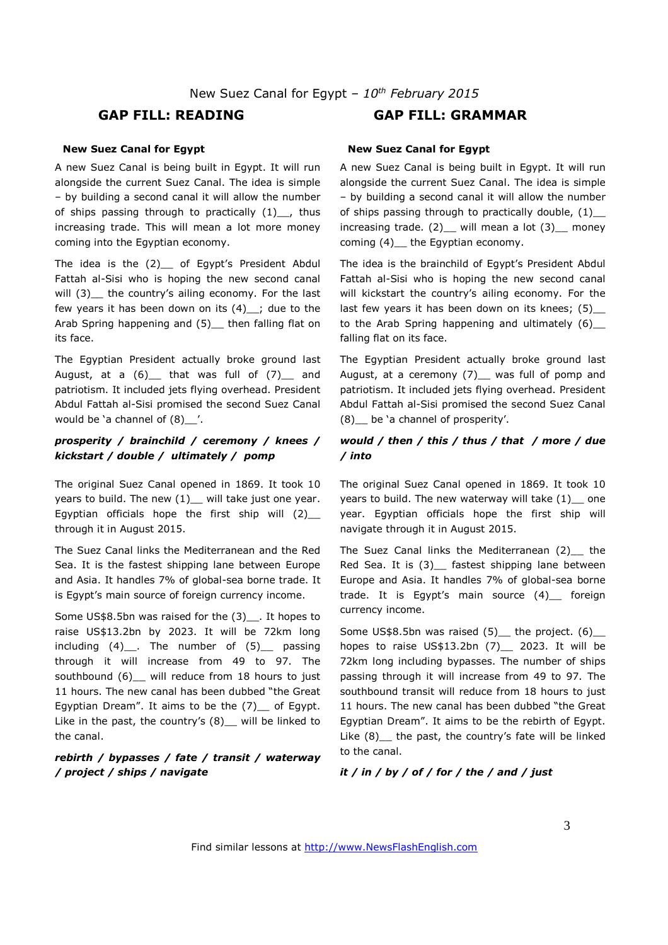# **GAP FILL: READING GAP FILL: GRAMMAR**

#### **New Suez Canal for Egypt**

A new Suez Canal is being built in Egypt. It will run alongside the current Suez Canal. The idea is simple – by building a second canal it will allow the number of ships passing through to practically  $(1)$ , thus increasing trade. This will mean a lot more money coming into the Egyptian economy.

The idea is the (2) of Egypt's President Abdul Fattah al-Sisi who is hoping the new second canal will (3) the country's ailing economy. For the last few years it has been down on its  $(4)$  ; due to the Arab Spring happening and (5) then falling flat on its face.

The Egyptian President actually broke ground last August, at a  $(6)$  that was full of  $(7)$  and patriotism. It included jets flying overhead. President Abdul Fattah al-Sisi promised the second Suez Canal would be 'a channel of (8)\_\_'.

# *prosperity / brainchild / ceremony / knees / kickstart / double / ultimately / pomp*

The original Suez Canal opened in 1869. It took 10 years to build. The new  $(1)$  will take just one year. Egyptian officials hope the first ship will  $(2)$ through it in August 2015.

The Suez Canal links the Mediterranean and the Red Sea. It is the fastest shipping lane between Europe and Asia. It handles 7% of global-sea borne trade. It is Egypt's main source of foreign currency income.

Some US\$8.5bn was raised for the (3)\_\_. It hopes to raise US\$13.2bn by 2023. It will be 72km long including  $(4)$  . The number of  $(5)$  passing through it will increase from 49 to 97. The southbound (6) will reduce from 18 hours to just 11 hours. The new canal has been dubbed "the Great Egyptian Dream". It aims to be the  $(7)$  of Egypt. Like in the past, the country's  $(8)$  will be linked to the canal.

# *rebirth / bypasses / fate / transit / waterway / project / ships / navigate*

#### **New Suez Canal for Egypt**

A new Suez Canal is being built in Egypt. It will run alongside the current Suez Canal. The idea is simple – by building a second canal it will allow the number of ships passing through to practically double,  $(1)$ \_ increasing trade.  $(2)$  will mean a lot  $(3)$  money coming (4) the Egyptian economy.

The idea is the brainchild of Egypt's President Abdul Fattah al-Sisi who is hoping the new second canal will kickstart the country's ailing economy. For the last few years it has been down on its knees; (5) to the Arab Spring happening and ultimately  $(6)$ falling flat on its face.

The Egyptian President actually broke ground last August, at a ceremony (7)\_ was full of pomp and patriotism. It included jets flying overhead. President Abdul Fattah al-Sisi promised the second Suez Canal (8)\_\_ be 'a channel of prosperity'.

# *would / then / this / thus / that / more / due / into*

The original Suez Canal opened in 1869. It took 10 years to build. The new waterway will take  $(1)$  one year. Egyptian officials hope the first ship will navigate through it in August 2015.

The Suez Canal links the Mediterranean (2) the Red Sea. It is (3) \_ fastest shipping lane between Europe and Asia. It handles 7% of global-sea borne trade. It is Egypt's main source (4)\_\_ foreign currency income.

Some US\$8.5bn was raised  $(5)$  the project.  $(6)$ hopes to raise US\$13.2bn  $(7)$  2023. It will be 72km long including bypasses. The number of ships passing through it will increase from 49 to 97. The southbound transit will reduce from 18 hours to just 11 hours. The new canal has been dubbed "the Great Egyptian Dream". It aims to be the rebirth of Egypt. Like (8)\_\_ the past, the country's fate will be linked to the canal.

#### *it / in / by / of / for / the / and / just*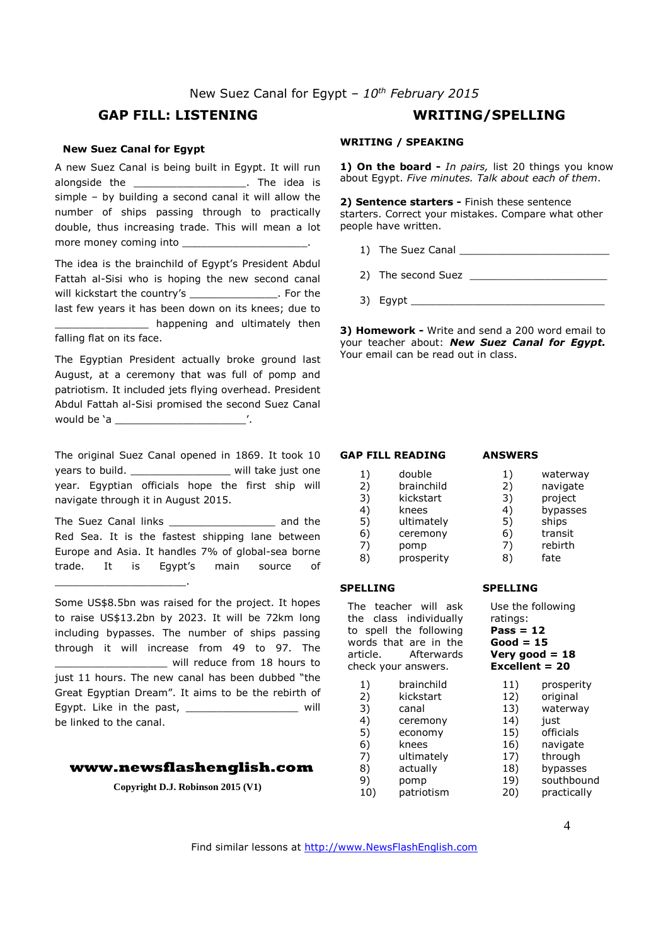# New Suez Canal for Egypt *– 10th February 2015*

# **GAP FILL: LISTENING WRITING/SPELLING**

#### **New Suez Canal for Egypt**

A new Suez Canal is being built in Egypt. It will run alongside the **alongside** the **alongside** the **idea** is simple – by building a second canal it will allow the number of ships passing through to practically double, thus increasing trade. This will mean a lot more money coming into

The idea is the brainchild of Egypt's President Abdul Fattah al-Sisi who is hoping the new second canal will kickstart the country's \_\_\_\_\_\_\_\_\_\_\_\_\_\_\_\_. For the last few years it has been down on its knees; due to \_ happening and ultimately then falling flat on its face.

The Egyptian President actually broke ground last August, at a ceremony that was full of pomp and patriotism. It included jets flying overhead. President Abdul Fattah al-Sisi promised the second Suez Canal would be 'a \_\_\_\_\_\_\_\_\_\_\_\_\_\_\_\_\_\_\_\_\_'.

The original Suez Canal opened in 1869. It took 10 years to build. \_\_\_\_\_\_\_\_\_\_\_\_\_\_\_\_\_\_\_\_\_ will take just one year. Egyptian officials hope the first ship will navigate through it in August 2015.

The Suez Canal links \_\_\_\_\_\_\_\_\_\_\_\_\_\_\_\_\_ and the Red Sea. It is the fastest shipping lane between Europe and Asia. It handles 7% of global-sea borne trade. It is Egypt's main source of

\_\_\_\_\_\_\_\_\_\_\_\_\_\_\_\_\_\_\_\_\_.

Some US\$8.5bn was raised for the project. It hopes to raise US\$13.2bn by 2023. It will be 72km long including bypasses. The number of ships passing through it will increase from 49 to 97. The \_\_\_\_\_\_\_\_\_\_\_\_\_\_\_\_\_\_ will reduce from 18 hours to just 11 hours. The new canal has been dubbed "the Great Egyptian Dream". It aims to be the rebirth of Eqypt. Like in the past, the same will be linked to the canal.

#### **www.newsflashenglish.com**

**Copyright D.J. Robinson 2015 (V1)** 

#### **WRITING / SPEAKING**

**1) On the board -** *In pairs,* list 20 things you know about Egypt. *Five minutes. Talk about each of them*.

**2) Sentence starters -** Finish these sentence starters. Correct your mistakes. Compare what other people have written.

- 1) The Suez Canal \_\_\_\_\_\_\_\_\_\_\_\_\_\_\_\_\_\_\_\_\_\_\_\_
- 2) The second Suez \_\_\_\_\_\_\_\_\_\_\_\_\_\_\_\_\_\_\_\_\_\_
- 3) Egypt \_\_\_\_\_\_\_\_\_\_\_\_\_\_\_\_\_\_\_\_\_\_\_\_\_\_\_\_\_\_\_

**3) Homework -** Write and send a 200 word email to your teacher about: *New Suez Canal for Egypt.*  Your email can be read out in class.

#### **GAP FILL READING**

#### **ANSWERS**

1) double<br>2) brainchi 2) brainchild<br>3) kickstart 3) kickstart 4) knees<br>5) ultimat ultimately 6) ceremony 7) pomp 8) prosperity 1) waterway<br>2) navigate 2) navigate<br>3) project 3) project 4) bypasses<br>5) ships 5) ships 6) transit 7) rebirth<br>8) fate fate

#### **SPELLING**

The teacher will ask the class individually to spell the following words that are in the article. Afterwards check your answers.

- 1) brainchild 2) kickstart 3) canal 4) ceremony 5) economy 6) knees 7) ultimately 8) actually 9) pomp
- 10) patriotism

#### **SPELLING**

Use the following ratings: **Pass = 12 Good = 15 Very good = 18 Excellent = 20** 

- 11) prosperity 12) original
- 13) waterway
- 14) just
- 15) officials
- 16) navigate
- 17) through
- 18) bypasses
- 19) southbound<br>20) practically practically

4

Find similar lessons at http://www.NewsFlashEnglish.com